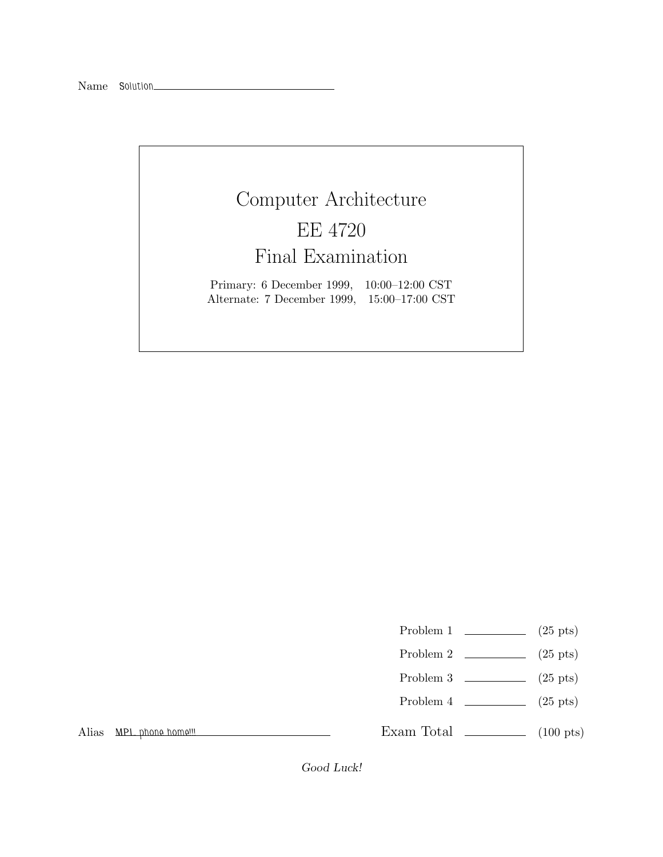## Computer Architecture EE 4720 Final Examination

Primary: 6 December 1999, 10:00–12:00 CST Alternate: 7 December 1999, 15:00–17:00 CST

- Problem 1  $\qquad \qquad$  (25 pts)
- Problem 2  $\qquad \qquad$  (25 pts)
- Problem 3 (25 pts)
- Problem  $4 \t\t(25 \text{ pts})$

Alias *MPL phone home!!!*

Exam Total  $\qquad \qquad$  (100 pts)

Good Luck!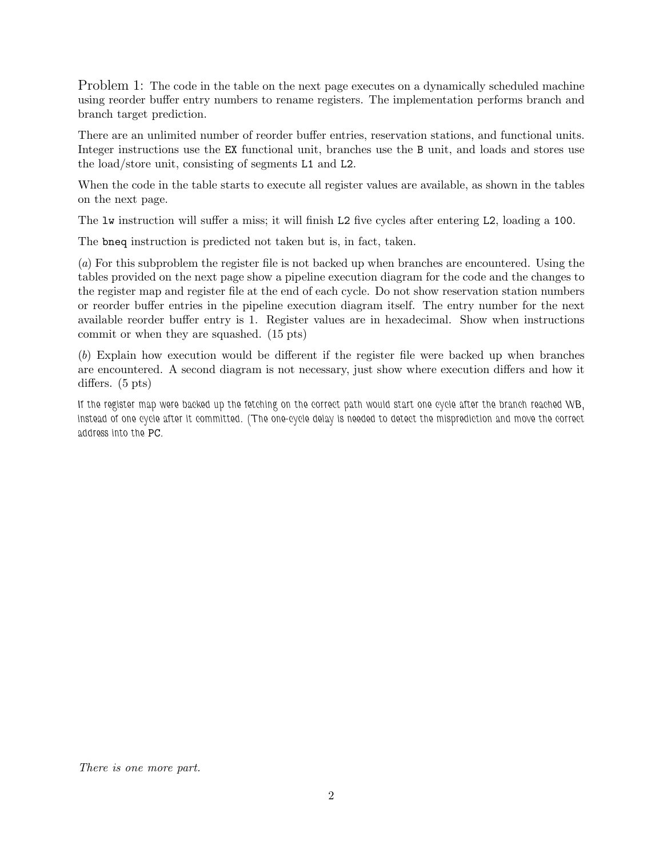Problem 1: The code in the table on the next page executes on a dynamically scheduled machine using reorder buffer entry numbers to rename registers. The implementation performs branch and branch target prediction.

There are an unlimited number of reorder buffer entries, reservation stations, and functional units. Integer instructions use the EX functional unit, branches use the B unit, and loads and stores use the load/store unit, consisting of segments L1 and L2.

When the code in the table starts to execute all register values are available, as shown in the tables on the next page.

The lw instruction will suffer a miss; it will finish L2 five cycles after entering L2, loading a 100.

The bneq instruction is predicted not taken but is, in fact, taken.

(*a*) For this subproblem the register file is not backed up when branches are encountered. Using the tables provided on the next page show a pipeline execution diagram for the code and the changes to the register map and register file at the end of each cycle. Do not show reservation station numbers or reorder buffer entries in the pipeline execution diagram itself. The entry number for the next available reorder buffer entry is 1. Register values are in hexadecimal. Show when instructions commit or when they are squashed. (15 pts)

(*b*) Explain how execution would be different if the register file were backed up when branches are encountered. A second diagram is not necessary, just show where execution differs and how it differs. (5 pts)

*If the register map were backed up the fetching on the correct path would start one cycle after the branch reached WB, instead of one cycle after it committed. (The one-cycle delay is needed to detect the misprediction and move the correct address into the* PC*.*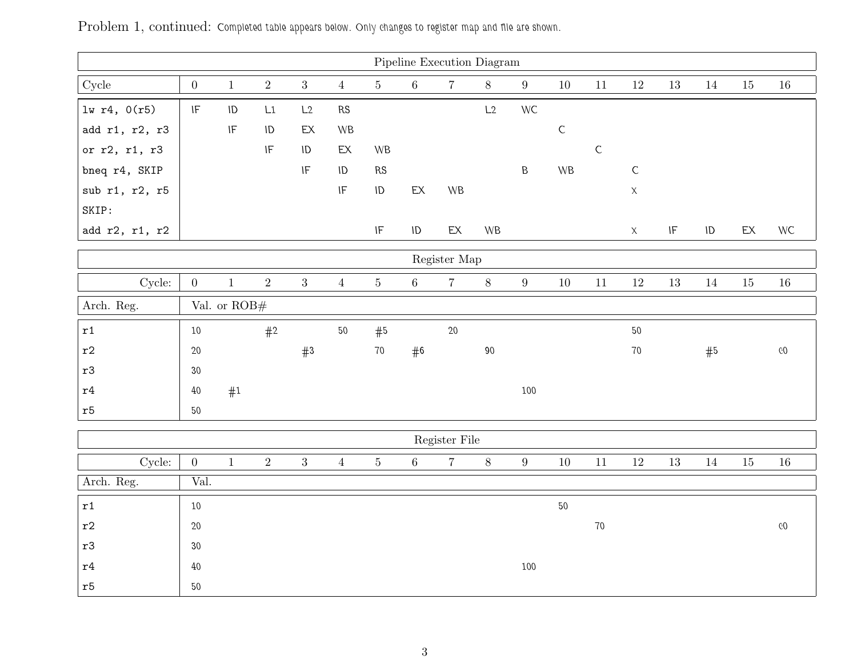| Pipeline Execution Diagram   |                                   |                            |                            |                                   |                            |                            |               |                |           |                 |                        |               |             |                                   |          |               |        |
|------------------------------|-----------------------------------|----------------------------|----------------------------|-----------------------------------|----------------------------|----------------------------|---------------|----------------|-----------|-----------------|------------------------|---------------|-------------|-----------------------------------|----------|---------------|--------|
| ${\rm Cycle}$                | $\boldsymbol{0}$                  | $1\,$                      | $\,2\,$                    | $\overline{3}$                    | $\overline{4}$             | $\bf 5$                    | $\,6\,$       | $\overline{7}$ | $8\,$     | $9\phantom{.0}$ | 10                     | $11\,$        | $12\,$      | $13\,$                            | 14       | 15            | $16\,$ |
| $lw$ r4, $0(r5)$             | $\ensuremath{\mathsf{IF}}\xspace$ | $\sf ID$                   | L1                         | L2                                | $\mathsf{RS}$              |                            |               |                | L2        | WC              |                        |               |             |                                   |          |               |        |
| add r1, r2, r3               |                                   | $\ensuremath{\mathsf{IF}}$ | ID                         | $\mathsf{EX}$                     | <b>WB</b>                  |                            |               |                |           |                 | $\mathsf C$            |               |             |                                   |          |               |        |
| or r2, r1, r3                |                                   |                            | $\ensuremath{\mathsf{IF}}$ | ID                                | EX                         | WB                         |               |                |           |                 |                        | ${\mathsf C}$ |             |                                   |          |               |        |
| bneq r4, SKIP                |                                   |                            |                            | $\ensuremath{\mathsf{IF}}\xspace$ | $\sf ID$                   | ${\sf RS}$                 |               |                |           | $\sf B$         | $\mathsf{W}\mathsf{B}$ |               | $\mathsf C$ |                                   |          |               |        |
| sub r1, r2, r5               |                                   |                            |                            |                                   | $\ensuremath{\mathsf{IF}}$ | $\sf ID$                   | $\mathsf{EX}$ | WB             |           |                 |                        |               | $\mathsf X$ |                                   |          |               |        |
| SKIP:                        |                                   |                            |                            |                                   |                            |                            |               |                |           |                 |                        |               |             |                                   |          |               |        |
| add r2, r1, r2               |                                   |                            |                            |                                   |                            | $\ensuremath{\mathsf{IF}}$ | $\sf ID$      | $\mathsf{EX}$  | <b>WB</b> |                 |                        |               | $\mathsf X$ | $\ensuremath{\mathsf{IF}}\xspace$ | $\sf ID$ | $\mathsf{EX}$ | WC     |
|                              | Register Map                      |                            |                            |                                   |                            |                            |               |                |           |                 |                        |               |             |                                   |          |               |        |
| Cycle:                       | $\overline{0}$                    | $\mathbf{1}$               | $\sqrt{2}$                 | $\overline{3}$                    | $\overline{4}$             | $\bf 5$                    | $6\,$         | $\overline{7}$ | $8\,$     | $9\phantom{.0}$ | 10                     | $11\,$        | $12\,$      | 13                                | 14       | $15\,$        | $16\,$ |
| Arch. Reg.<br>Val. or $ROB#$ |                                   |                            |                            |                                   |                            |                            |               |                |           |                 |                        |               |             |                                   |          |               |        |
| $\mathtt{r1}$                | $10\,$                            |                            | #2                         |                                   | $50\,$                     | #5                         |               | $20\,$         |           |                 |                        |               | $50\,$      |                                   |          |               |        |
| $^{\rm r2}$                  | $20\,$                            |                            |                            | #3                                |                            | $70\,$                     | #6            |                | $90\,$    |                 |                        |               | $70\,$      |                                   | #5       |               | $60\,$ |
| $^{\rm r3}$                  | 30                                |                            |                            |                                   |                            |                            |               |                |           |                 |                        |               |             |                                   |          |               |        |
| $\mathtt{r}4$                | $40\,$                            | #1                         |                            |                                   |                            |                            |               |                |           | 100             |                        |               |             |                                   |          |               |        |
| $\mathtt{r}5$                | 50                                |                            |                            |                                   |                            |                            |               |                |           |                 |                        |               |             |                                   |          |               |        |
| Register File                |                                   |                            |                            |                                   |                            |                            |               |                |           |                 |                        |               |             |                                   |          |               |        |
| Cycle:                       | $\overline{0}$                    | $\mathbf{1}$               | $\overline{2}$             | $\overline{3}$                    | $\overline{4}$             | $\bf 5$                    | $6\,$         | $\overline{7}$ | $8\,$     | $9\phantom{.0}$ | 10                     | 11            | 12          | $13\,$                            | 14       | 15            | 16     |
| Arch. Reg.                   | Val.                              |                            |                            |                                   |                            |                            |               |                |           |                 |                        |               |             |                                   |          |               |        |
|                              |                                   |                            |                            |                                   |                            |                            |               |                |           |                 |                        |               |             |                                   |          |               |        |
| $\mathtt{r1}$                | 10                                |                            |                            |                                   |                            |                            |               |                |           |                 | $50\,$                 |               |             |                                   |          |               |        |
| $\mathtt{r}2$                | $20\,$                            |                            |                            |                                   |                            |                            |               |                |           |                 |                        | $70\,$        |             |                                   |          |               | $60\,$ |
| r3                           | 30                                |                            |                            |                                   |                            |                            |               |                |           |                 |                        |               |             |                                   |          |               |        |
| $\mathtt{r}4$                | $40\,$                            |                            |                            |                                   |                            |                            |               |                |           | 100             |                        |               |             |                                   |          |               |        |
| $^\mathrm{r5}$               | $50\,$                            |                            |                            |                                   |                            |                            |               |                |           |                 |                        |               |             |                                   |          |               |        |

Problem 1, continued: Completed table appears below. Only changes to register map and file are shown.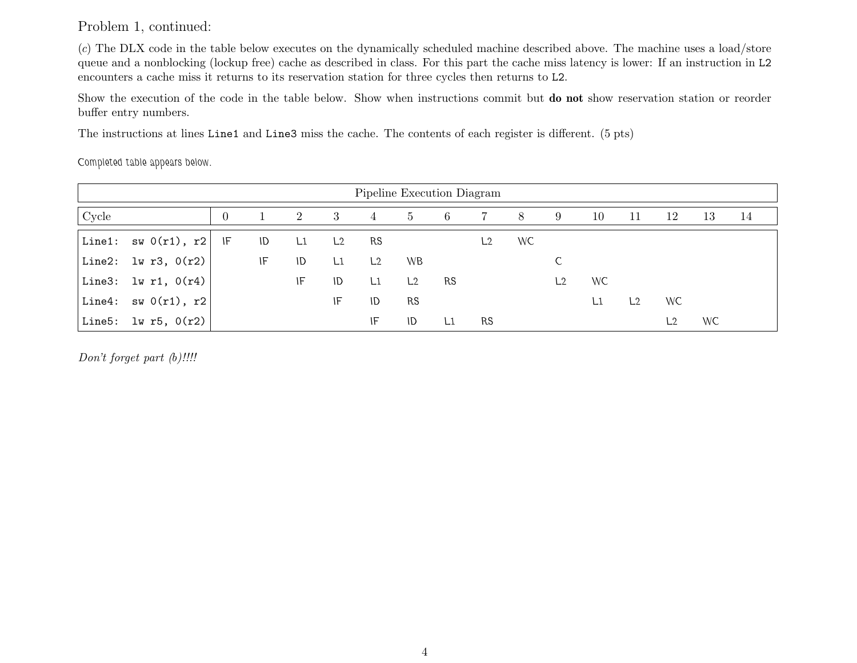Problem 1, continued:

(*c*) The DLX code in the table below executes on the dynamically scheduled machine described above. The machine uses <sup>a</sup> load/store queue and <sup>a</sup> nonblocking (lockup free) cache as described in class. For this part the cache miss latency is lower: If an instruction in L2 encounters <sup>a</sup> cache miss it returns to its reservation station for three cycles then returns to L2.

Show the execution of the code in the table below. Show when instructions commit but **do not** show reservation station or reorder buffer entry numbers.

The instructions at lines Line1 and Line3 miss the cache. The contents of each register is different. (5 pts)

*Completed table appears below.*

| Pipeline Execution Diagram |                                                                |  |    |    |                |    |                |    |    |    |    |    |                |     |    |    |
|----------------------------|----------------------------------------------------------------|--|----|----|----------------|----|----------------|----|----|----|----|----|----------------|-----|----|----|
| Cycle                      |                                                                |  |    | 2  | -3             | 4  | 5              | -6 |    | 8  | -9 | 10 | 11             | 12  | 13 | 14 |
|                            | Line1: $sw(0r1), r2$ IF                                        |  | ID | L1 | L <sub>2</sub> | RS |                |    | L2 | WC |    |    |                |     |    |    |
|                            | Line2: $\frac{1}{2}$ $\frac{1}{2}$ $\frac{1}{2}$ $\frac{1}{2}$ |  | IF | ID | L1             | L2 | <b>WB</b>      |    |    |    |    |    |                |     |    |    |
|                            | Line3: $lw$ r1, $0(r4)$                                        |  |    | IF | ID             | L1 | L <sub>2</sub> | RS |    |    | L2 | WC |                |     |    |    |
|                            | Line4: $sw(0r1)$ , r2                                          |  |    |    | IF             | ID | <b>RS</b>      |    |    |    |    | L1 | L <sub>2</sub> | WC. |    |    |
|                            | Line5: $1w$ r5, $0(r2)$                                        |  |    |    |                | IF | ID             | L1 | RS |    |    |    |                |     | WC |    |

*Don't forget part (b)!!!!*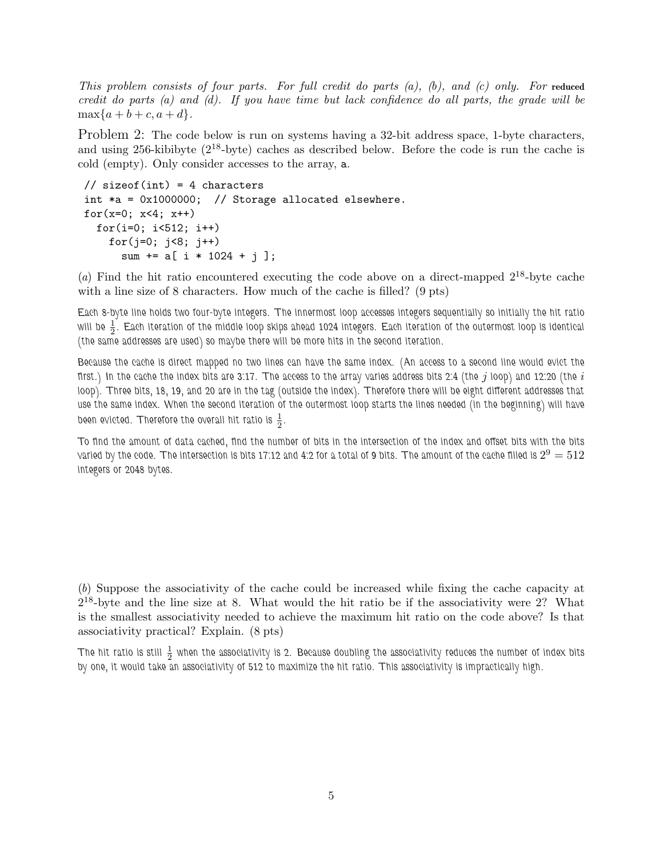*This problem consists of four parts. For full credit do parts (a), (b), and (c) only. For* **reduced** *credit do parts (a) and (d). If you have time but lack confidence do all parts, the grade will be*  $\max\{a + b + c, a + d\}.$ 

Problem 2: The code below is run on systems having a 32-bit address space, 1-byte characters, and using 256-kibibyte (2<sup>18</sup>-byte) caches as described below. Before the code is run the cache is cold (empty). Only consider accesses to the array, a.

```
// sizeof(int) = 4 characters
int *a = 0x1000000; // Storage allocated elsewhere.
for(x=0; x<4; x++)
 for(i=0; i < 512; i++)for(j=0; j<8; j++)
      sum += a[ i * 1024 + j ];
```
(*a*) Find the hit ratio encountered executing the code above on a direct-mapped 2<sup>18</sup>-byte cache with a line size of 8 characters. How much of the cache is filled? (9 pts)

*Each 8-byte line holds two four-byte integers. The innermost loop accesses integers sequentially so initially the hit ratio* will be  $\frac{1}{2}$ . Each iteration of the middle loop skips ahead 1024 integers. Each iteration of the outermost loop is identical *(the same addresses are used) so maybe there will be more hits in the second iteration.*

*Because the cache is direct mapped no two lines can have the same index. (An access to a second line would evict the first.) In the cache the index bits are 3:17. The access to the array varies address bits 2:4 (the* j *loop) and 12:20 (the* i *loop). Three bits, 18, 19, and 20 are in the tag (outside the index). Therefore there will be eight different addresses that use the same index. When the second iteration of the outermost loop starts the lines needed (in the beginning) will have* been evicted. Therefore the overall hit ratio is  $\frac{1}{2}$ .

*To find the amount of data cached, find the number of bits in the intersection of the index and offset bits with the bits varied by the code. The intersection is bits 17:12 and 4:2 for a total of 9 bits. The amount of the cache filled is*  $2^9 = 512$ *integers or 2048 bytes.*

(*b*) Suppose the associativity of the cache could be increased while fixing the cache capacity at  $2^{18}$ -byte and the line size at 8. What would the hit ratio be if the associativity were 2? What is the smallest associativity needed to achieve the maximum hit ratio on the code above? Is that associativity practical? Explain. (8 pts)

The hit ratio is still  $\frac{1}{2}$  when the associativity is 2. Because doubling the associativity reduces the number of index bits *by one, it would take an associativity of 512 to maximize the hit ratio. This associativity is impractically high.*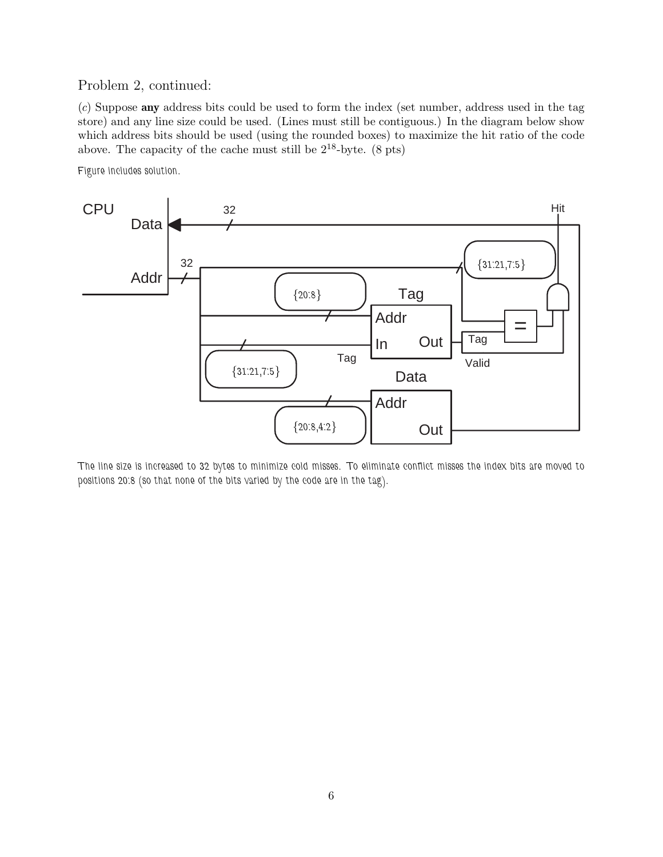## Problem 2, continued:

(*c*) Suppose **any** address bits could be used to form the index (set number, address used in the tag store) and any line size could be used. (Lines must still be contiguous.) In the diagram below show which address bits should be used (using the rounded boxes) to maximize the hit ratio of the code above. The capacity of the cache must still be  $2^{18}$ -byte. (8 pts)

*Figure includes solution.*



*The line size is increased to 32 bytes to minimize cold misses. To eliminate conflict misses the index bits are moved to positions 20:8 (so that none of the bits varied by the code are in the tag).*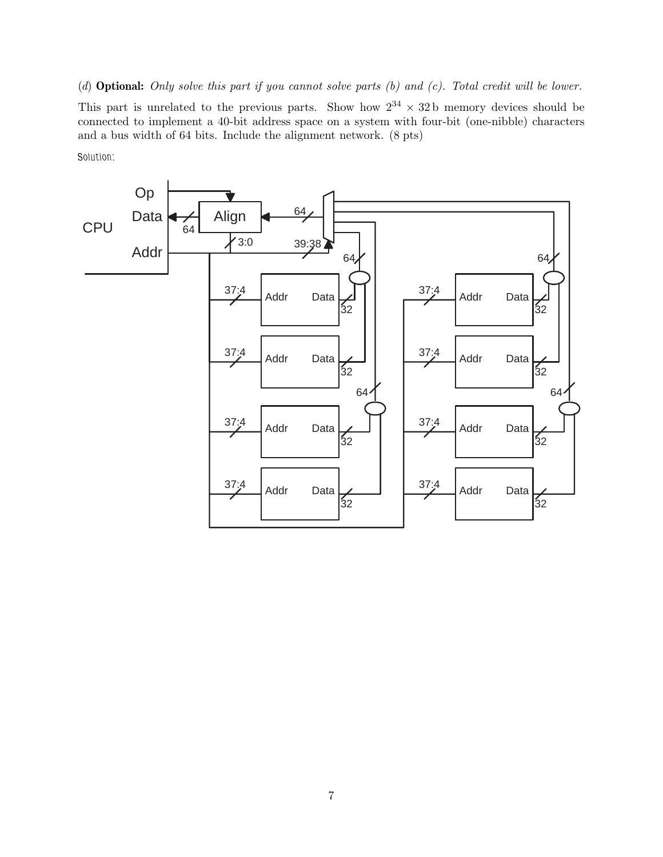(*d*) **Optional:** *Only solve this part if you cannot solve parts (b) and (c). Total credit will be lower.* This part is unrelated to the previous parts. Show how  $2^{34} \times 32$  b memory devices should be connected to implement a 40-bit address space on a system with four-bit (one-nibble) characters and a bus width of 64 bits. Include the alignment network. (8 pts)

*Solution:*

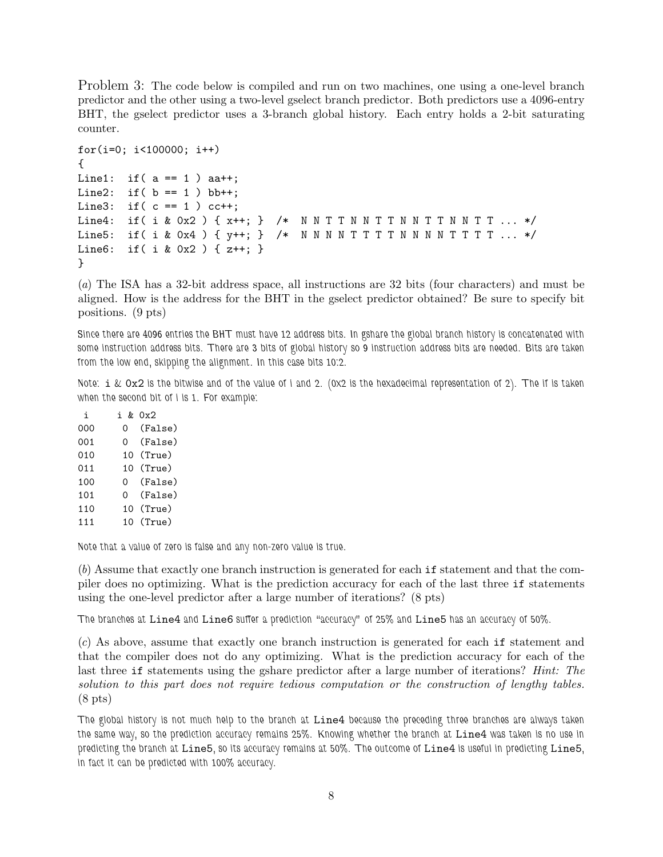Problem 3: The code below is compiled and run on two machines, one using a one-level branch predictor and the other using a two-level gselect branch predictor. Both predictors use a 4096-entry BHT, the gselect predictor uses a 3-branch global history. Each entry holds a 2-bit saturating counter.

```
for(i=0; i<100000; i++)
{
Line1: if(a == 1) aa++;
Line2: if( b == 1 ) bb++;
Line3: if(c == 1) cc++;Line4: if( i & 0x2 ) { x++; } /* N N T T N N T T N N T T N N T T ... */
Line5: if ( i & 0x4 ) { y++; } /* N N N N T T T N N N N T T T T ... */
Line6: if( i & 0x2 ) { z++; }
}
```
(*a*) The ISA has a 32-bit address space, all instructions are 32 bits (four characters) and must be aligned. How is the address for the BHT in the gselect predictor obtained? Be sure to specify bit positions. (9 pts)

*Since there are 4096 entries the BHT must have 12 address bits. In gshare the global branch history is concatenated with some instruction address bits. There are 3 bits of global history so 9 instruction address bits are needed. Bits are taken from the low end, skipping the alignment. In this case bits 10:2.*

*Note:* i *&* 0x2 *is the bitwise and of the value of i and 2. (0x2 is the hexadecimal representation of 2). The if is taken when the second bit of i is 1. For example:*

i i & 0x2 000 0 (False) 001 0 (False) 010 10 (True) 011 10 (True) 100 0 (False) 101 0 (False) 110 10 (True) 111 10 (True)

*Note that a value of zero is false and any non-zero value is true.*

(*b*) Assume that exactly one branch instruction is generated for each if statement and that the compiler does no optimizing. What is the prediction accuracy for each of the last three if statements using the one-level predictor after a large number of iterations? (8 pts)

*The branches at* Line4 *and* Line6 *suffer a prediction "accuracy" of 25% and* Line5 *has an accuracy of 50%.*

(*c*) As above, assume that exactly one branch instruction is generated for each if statement and that the compiler does not do any optimizing. What is the prediction accuracy for each of the last three if statements using the gshare predictor after a large number of iterations? *Hint: The solution to this part does not require tedious computation or the construction of lengthy tables.* (8 pts)

*The global history is not much help to the branch at* Line4 *because the preceding three branches are always taken the same way, so the prediction accuracy remains 25%. Knowing whether the branch at* Line4 *was taken is no use in predicting the branch at* Line5*, so its accuracy remains at 50%. The outcome of* Line4 *is useful in predicting* Line5*, in fact it can be predicted with 100% accuracy.*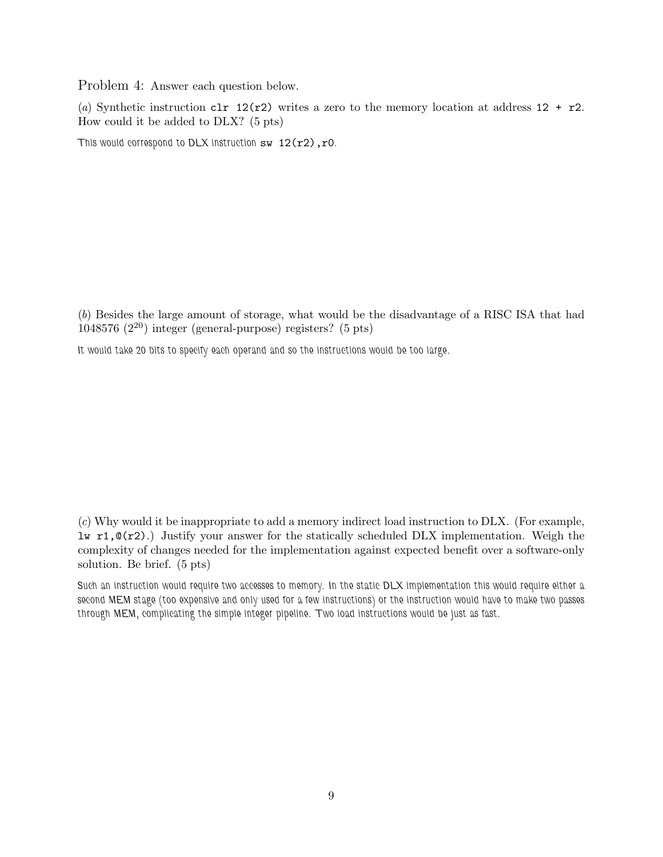Problem 4: Answer each question below.

(*a*) Synthetic instruction clr 12(r2) writes a zero to the memory location at address  $12 + r2$ . How could it be added to DLX? (5 pts)

*This would correspond to DLX instruction* sw 12(r2),r0*.*

(*b*) Besides the large amount of storage, what would be the disadvantage of a RISC ISA that had 1048576  $(2^{20})$  integer (general-purpose) registers? (5 pts)

*It would take 20 bits to specify each operand and so the instructions would be too large.*

(*c*) Why would it be inappropriate to add a memory indirect load instruction to DLX. (For example, lw r1,@(r2).) Justify your answer for the statically scheduled DLX implementation. Weigh the complexity of changes needed for the implementation against expected benefit over a software-only solution. Be brief. (5 pts)

*Such an instruction would require two accesses to memory. In the static DLX implementation this would require either a second MEM stage (too expensive and only used for a few instructions) or the instruction would have to make two passes through MEM, complicating the simple integer pipeline. Two load instructions would be just as fast.*